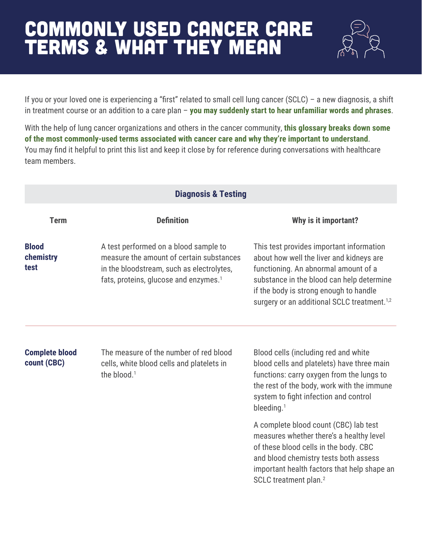# COMMONLY USED CANCER CARE TERMS & WHAT THEY MEAN

If you or your loved one is experiencing a "first" related to small cell lung cancer (SCLC) – a new diagnosis, a shift in treatment course or an addition to a care plan – **you may suddenly start to hear unfamiliar words and phrases**.

With the help of lung cancer organizations and others in the cancer community, **this glossary breaks down some of the most commonly-used terms associated with cancer care and why they're important to understand**. You may find it helpful to print this list and keep it close by for reference during conversations with healthcare team members.

| <b>Diagnosis &amp; Testing</b>       |                                                                                                                                                                                     |                                                                                                                                                                                                                                                                                |  |
|--------------------------------------|-------------------------------------------------------------------------------------------------------------------------------------------------------------------------------------|--------------------------------------------------------------------------------------------------------------------------------------------------------------------------------------------------------------------------------------------------------------------------------|--|
| <b>Term</b>                          | <b>Definition</b>                                                                                                                                                                   | Why is it important?                                                                                                                                                                                                                                                           |  |
| <b>Blood</b><br>chemistry<br>test    | A test performed on a blood sample to<br>measure the amount of certain substances<br>in the bloodstream, such as electrolytes,<br>fats, proteins, glucose and enzymes. <sup>1</sup> | This test provides important information<br>about how well the liver and kidneys are<br>functioning. An abnormal amount of a<br>substance in the blood can help determine<br>if the body is strong enough to handle<br>surgery or an additional SCLC treatment. <sup>1,2</sup> |  |
| <b>Complete blood</b><br>count (CBC) | The measure of the number of red blood<br>cells, white blood cells and platelets in<br>the blood. <sup>1</sup>                                                                      | Blood cells (including red and white<br>blood cells and platelets) have three main<br>functions: carry oxygen from the lungs to<br>the rest of the body, work with the immune<br>system to fight infection and control<br>bleeding. <sup>1</sup>                               |  |
|                                      |                                                                                                                                                                                     | A complete blood count (CBC) lab test<br>measures whether there's a healthy level<br>of these blood cells in the body. CBC<br>and blood chemistry tests both assess<br>important health factors that help shape an<br>SCLC treatment plan. <sup>2</sup>                        |  |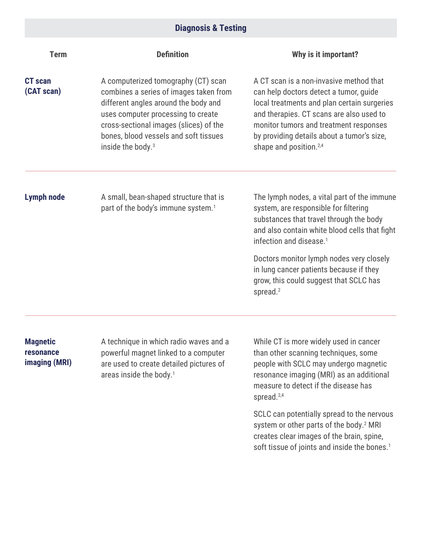# **Diagnosis & Testing**

| <b>Term</b>                                          | <b>Definition</b>                                                                                                                                                                                                                                                               | Why is it important?                                                                                                                                                                                                                                                                                       |
|------------------------------------------------------|---------------------------------------------------------------------------------------------------------------------------------------------------------------------------------------------------------------------------------------------------------------------------------|------------------------------------------------------------------------------------------------------------------------------------------------------------------------------------------------------------------------------------------------------------------------------------------------------------|
| <b>CT</b> scan<br>(CAT scan)                         | A computerized tomography (CT) scan<br>combines a series of images taken from<br>different angles around the body and<br>uses computer processing to create<br>cross-sectional images (slices) of the<br>bones, blood vessels and soft tissues<br>inside the body. <sup>3</sup> | A CT scan is a non-invasive method that<br>can help doctors detect a tumor, guide<br>local treatments and plan certain surgeries<br>and therapies. CT scans are also used to<br>monitor tumors and treatment responses<br>by providing details about a tumor's size,<br>shape and position. <sup>2,4</sup> |
| <b>Lymph node</b>                                    | A small, bean-shaped structure that is<br>part of the body's immune system. <sup>1</sup>                                                                                                                                                                                        | The lymph nodes, a vital part of the immune<br>system, are responsible for filtering<br>substances that travel through the body<br>and also contain white blood cells that fight<br>infection and disease. <sup>1</sup>                                                                                    |
|                                                      |                                                                                                                                                                                                                                                                                 | Doctors monitor lymph nodes very closely<br>in lung cancer patients because if they<br>grow, this could suggest that SCLC has<br>spread. <sup>2</sup>                                                                                                                                                      |
| <b>Magnetic</b><br><b>resonance</b><br>imaging (MRI) | A technique in which radio waves and a<br>powerful magnet linked to a computer<br>are used to create detailed pictures of<br>areas inside the body. <sup>1</sup>                                                                                                                | While CT is more widely used in cancer<br>than other scanning techniques, some<br>people with SCLC may undergo magnetic<br>resonance imaging (MRI) as an additional<br>measure to detect if the disease has<br>spread. <sup>2,4</sup>                                                                      |
|                                                      |                                                                                                                                                                                                                                                                                 | SCLC can potentially spread to the nervous                                                                                                                                                                                                                                                                 |

system or other parts of the body.<sup>2</sup> MRI creates clear images of the brain, spine, soft tissue of joints and inside the bones.<sup>1</sup>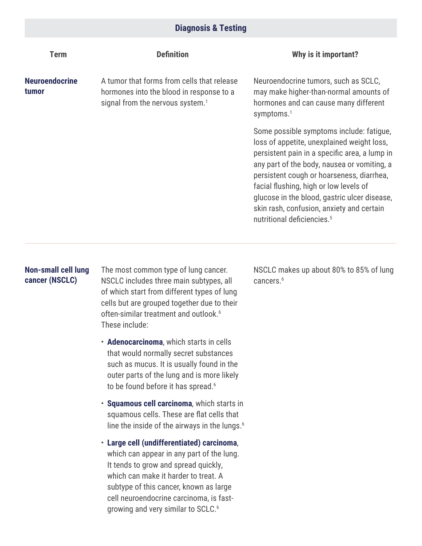| <b>Term</b>                    | <b>Definition</b>                                                                                                                      | Why is it important?                                                                                                                                                                                                                                                                                                                                                                                                 |
|--------------------------------|----------------------------------------------------------------------------------------------------------------------------------------|----------------------------------------------------------------------------------------------------------------------------------------------------------------------------------------------------------------------------------------------------------------------------------------------------------------------------------------------------------------------------------------------------------------------|
| <b>Neuroendocrine</b><br>tumor | A tumor that forms from cells that release<br>hormones into the blood in response to a<br>signal from the nervous system. <sup>1</sup> | Neuroendocrine tumors, such as SCLC,<br>may make higher-than-normal amounts of<br>hormones and can cause many different<br>symptoms. $1$                                                                                                                                                                                                                                                                             |
|                                |                                                                                                                                        | Some possible symptoms include: fatigue,<br>loss of appetite, unexplained weight loss,<br>persistent pain in a specific area, a lump in<br>any part of the body, nausea or vomiting, a<br>persistent cough or hoarseness, diarrhea,<br>facial flushing, high or low levels of<br>glucose in the blood, gastric ulcer disease,<br>skin rash, confusion, anxiety and certain<br>nutritional deficiencies. <sup>5</sup> |

**Diagnosis & Testing**

### **Non-small cell lung cancer (NSCLC)**

The most common type of lung cancer. NSCLC includes three main subtypes, all of which start from different types of lung cells but are grouped together due to their often-similar treatment and outlook.<sup>6</sup> These include:

- **Adenocarcinoma**, which starts in cells that would normally secret substances such as mucus. It is usually found in the outer parts of the lung and is more likely to be found before it has spread.<sup>6</sup>
- **Squamous cell carcinoma**, which starts in squamous cells. These are flat cells that line the inside of the airways in the lungs.<sup>6</sup>
- **Large cell (undifferentiated) carcinoma**, which can appear in any part of the lung. It tends to grow and spread quickly, which can make it harder to treat. A subtype of this cancer, known as large cell neuroendocrine carcinoma, is fastgrowing and very similar to SCLC.<sup>6</sup>

NSCLC makes up about 80% to 85% of lung cancers.<sup>6</sup>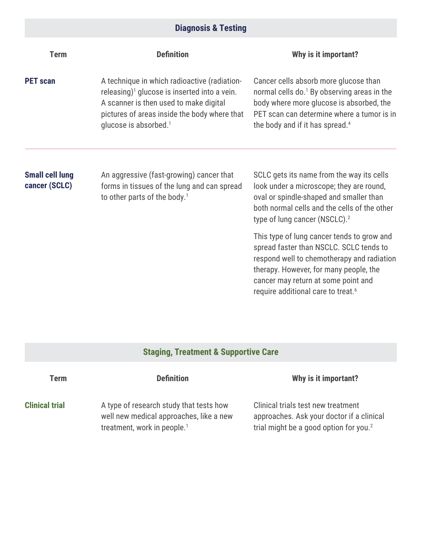# **Diagnosis & Testing**

| Term                                    | <b>Definition</b>                                                                                                                                                                                                                        | Why is it important?                                                                                                                                                                                                                                                   |
|-----------------------------------------|------------------------------------------------------------------------------------------------------------------------------------------------------------------------------------------------------------------------------------------|------------------------------------------------------------------------------------------------------------------------------------------------------------------------------------------------------------------------------------------------------------------------|
| <b>PET</b> scan                         | A technique in which radioactive (radiation-<br>releasing) $\frac{1}{2}$ glucose is inserted into a vein.<br>A scanner is then used to make digital<br>pictures of areas inside the body where that<br>glucose is absorbed. <sup>1</sup> | Cancer cells absorb more glucose than<br>normal cells do. <sup>1</sup> By observing areas in the<br>body where more glucose is absorbed, the<br>PET scan can determine where a tumor is in<br>the body and if it has spread. <sup>4</sup>                              |
| <b>Small cell lung</b><br>cancer (SCLC) | An aggressive (fast-growing) cancer that<br>forms in tissues of the lung and can spread<br>to other parts of the body. <sup>1</sup>                                                                                                      | SCLC gets its name from the way its cells<br>look under a microscope; they are round,<br>oval or spindle-shaped and smaller than<br>both normal cells and the cells of the other<br>type of lung cancer (NSCLC). <sup>2</sup>                                          |
|                                         |                                                                                                                                                                                                                                          | This type of lung cancer tends to grow and<br>spread faster than NSCLC. SCLC tends to<br>respond well to chemotherapy and radiation<br>therapy. However, for many people, the<br>cancer may return at some point and<br>require additional care to treat. <sup>6</sup> |

# **Staging, Treatment & Supportive Care**

| Term                  | <b>Definition</b>                                                                                                             | Why is it important?                                                                                                                  |
|-----------------------|-------------------------------------------------------------------------------------------------------------------------------|---------------------------------------------------------------------------------------------------------------------------------------|
| <b>Clinical trial</b> | A type of research study that tests how<br>well new medical approaches, like a new<br>treatment, work in people. <sup>1</sup> | Clinical trials test new treatment<br>approaches. Ask your doctor if a clinical<br>trial might be a good option for you. <sup>2</sup> |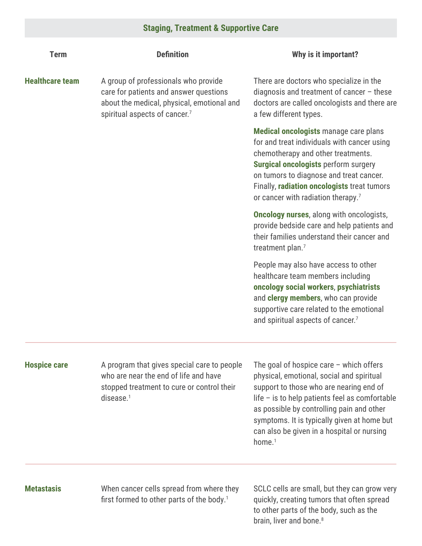| <b>Term</b>            | <b>Definition</b>                                                                                                                                             | Why is it important?                                                                                                                                                                                                                                                                                                                                  |
|------------------------|---------------------------------------------------------------------------------------------------------------------------------------------------------------|-------------------------------------------------------------------------------------------------------------------------------------------------------------------------------------------------------------------------------------------------------------------------------------------------------------------------------------------------------|
| <b>Healthcare team</b> | A group of professionals who provide<br>care for patients and answer questions<br>about the medical, physical, emotional and<br>spiritual aspects of cancer.7 | There are doctors who specialize in the<br>diagnosis and treatment of cancer - these<br>doctors are called oncologists and there are<br>a few different types.                                                                                                                                                                                        |
|                        |                                                                                                                                                               | <b>Medical oncologists manage care plans</b><br>for and treat individuals with cancer using<br>chemotherapy and other treatments.<br><b>Surgical oncologists perform surgery</b><br>on tumors to diagnose and treat cancer.<br>Finally, radiation oncologists treat tumors<br>or cancer with radiation therapy. <sup>7</sup>                          |
|                        |                                                                                                                                                               | <b>Oncology nurses, along with oncologists,</b><br>provide bedside care and help patients and<br>their families understand their cancer and<br>treatment plan. <sup>7</sup>                                                                                                                                                                           |
|                        |                                                                                                                                                               | People may also have access to other<br>healthcare team members including<br>oncology social workers, psychiatrists<br>and <b>clergy members</b> , who can provide<br>supportive care related to the emotional<br>and spiritual aspects of cancer.7                                                                                                   |
| <b>Hospice care</b>    | A program that gives special care to people<br>who are near the end of life and have<br>stopped treatment to cure or control their<br>disease. <sup>1</sup>   | The goal of hospice care $-$ which offers<br>physical, emotional, social and spiritual<br>support to those who are nearing end of<br>life $-$ is to help patients feel as comfortable<br>as possible by controlling pain and other<br>symptoms. It is typically given at home but<br>can also be given in a hospital or nursing<br>home. <sup>1</sup> |

**Metastasis** When cancer cells spread from where they first formed to other parts of the body.<sup>1</sup>

SCLC cells are small, but they can grow very quickly, creating tumors that often spread to other parts of the body, such as the brain, liver and bone.<sup>8</sup>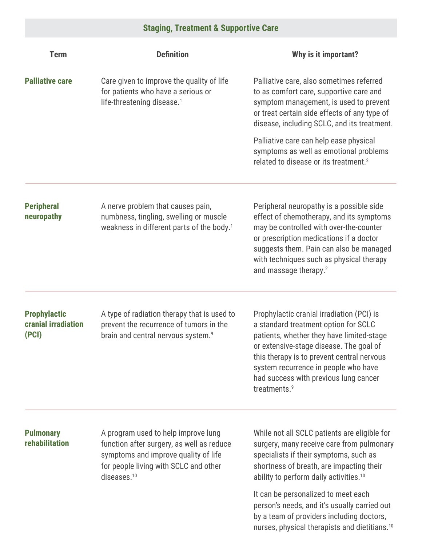| <b>Term</b>                                         | <b>Definition</b>                                                                                                                                                                            | Why is it important?                                                                                                                                                                                                                                                                                                                                                      |
|-----------------------------------------------------|----------------------------------------------------------------------------------------------------------------------------------------------------------------------------------------------|---------------------------------------------------------------------------------------------------------------------------------------------------------------------------------------------------------------------------------------------------------------------------------------------------------------------------------------------------------------------------|
| <b>Palliative care</b>                              | Care given to improve the quality of life<br>for patients who have a serious or<br>life-threatening disease. <sup>1</sup>                                                                    | Palliative care, also sometimes referred<br>to as comfort care, supportive care and<br>symptom management, is used to prevent<br>or treat certain side effects of any type of<br>disease, including SCLC, and its treatment.<br>Palliative care can help ease physical                                                                                                    |
|                                                     |                                                                                                                                                                                              | symptoms as well as emotional problems<br>related to disease or its treatment. <sup>2</sup>                                                                                                                                                                                                                                                                               |
| <b>Peripheral</b><br>neuropathy                     | A nerve problem that causes pain,<br>numbness, tingling, swelling or muscle<br>weakness in different parts of the body. <sup>1</sup>                                                         | Peripheral neuropathy is a possible side<br>effect of chemotherapy, and its symptoms<br>may be controlled with over-the-counter<br>or prescription medications if a doctor<br>suggests them. Pain can also be managed<br>with techniques such as physical therapy<br>and massage therapy. <sup>2</sup>                                                                    |
| <b>Prophylactic</b><br>cranial irradiation<br>(PCI) | A type of radiation therapy that is used to<br>prevent the recurrence of tumors in the<br>brain and central nervous system. <sup>9</sup>                                                     | Prophylactic cranial irradiation (PCI) is<br>a standard treatment option for SCLC<br>patients, whether they have limited-stage<br>or extensive-stage disease. The goal of<br>this therapy is to prevent central nervous<br>system recurrence in people who have<br>had success with previous lung cancer<br>treatments. <sup>9</sup>                                      |
| <b>Pulmonary</b><br><b>rehabilitation</b>           | A program used to help improve lung<br>function after surgery, as well as reduce<br>symptoms and improve quality of life<br>for people living with SCLC and other<br>diseases. <sup>10</sup> | While not all SCLC patients are eligible for<br>surgery, many receive care from pulmonary<br>specialists if their symptoms, such as<br>shortness of breath, are impacting their<br>ability to perform daily activities. <sup>10</sup><br>It can be personalized to meet each<br>person's needs, and it's usually carried out<br>by a team of providers including doctors, |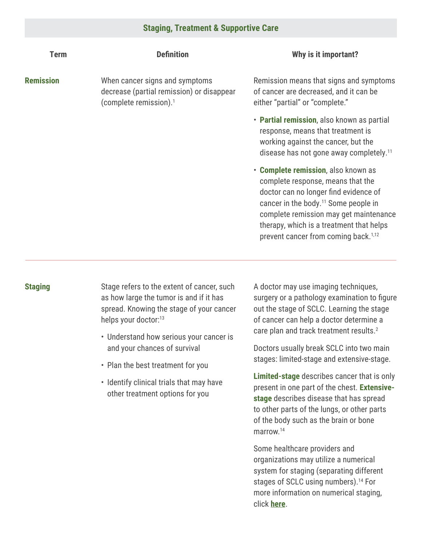| <b>Term</b>      | <b>Definition</b>                                                                                        | Why is it important?                                                                                                                                                                                                                                                                                            |
|------------------|----------------------------------------------------------------------------------------------------------|-----------------------------------------------------------------------------------------------------------------------------------------------------------------------------------------------------------------------------------------------------------------------------------------------------------------|
| <b>Remission</b> | When cancer signs and symptoms<br>decrease (partial remission) or disappear<br>(complete remission). $1$ | Remission means that signs and symptoms<br>of cancer are decreased, and it can be<br>either "partial" or "complete."                                                                                                                                                                                            |
|                  |                                                                                                          | • Partial remission, also known as partial<br>response, means that treatment is<br>working against the cancer, but the<br>disease has not gone away completely. <sup>11</sup>                                                                                                                                   |
|                  |                                                                                                          | • Complete remission, also known as<br>complete response, means that the<br>doctor can no longer find evidence of<br>cancer in the body. <sup>11</sup> Some people in<br>complete remission may get maintenance<br>therapy, which is a treatment that helps<br>prevent cancer from coming back. <sup>1,12</sup> |

### **Staging**

Stage refers to the extent of cancer, such as how large the tumor is and if it has spread. Knowing the stage of your cancer helps your doctor:<sup>13</sup>

- Understand how serious your cancer is and your chances of survival
- Plan the best treatment for you
- Identify clinical trials that may have other treatment options for you

A doctor may use imaging techniques, surgery or a pathology examination to figure out the stage of SCLC. Learning the stage of cancer can help a doctor determine a care plan and track treatment results.<sup>2</sup>

Doctors usually break SCLC into two main stages: limited-stage and extensive-stage.

**Limited-stage** describes cancer that is only present in one part of the chest. **Extensivestage** describes disease that has spread to other parts of the lungs, or other parts of the body such as the brain or bone marrow.14

Some healthcare providers and organizations may utilize a numerical system for staging (separating different stages of SCLC using numbers).<sup>14</sup> For more information on numerical staging, click **[here](https://www.cancer.org/cancer/lung-cancer/detection-diagnosis-staging/staging-sclc.html)**.